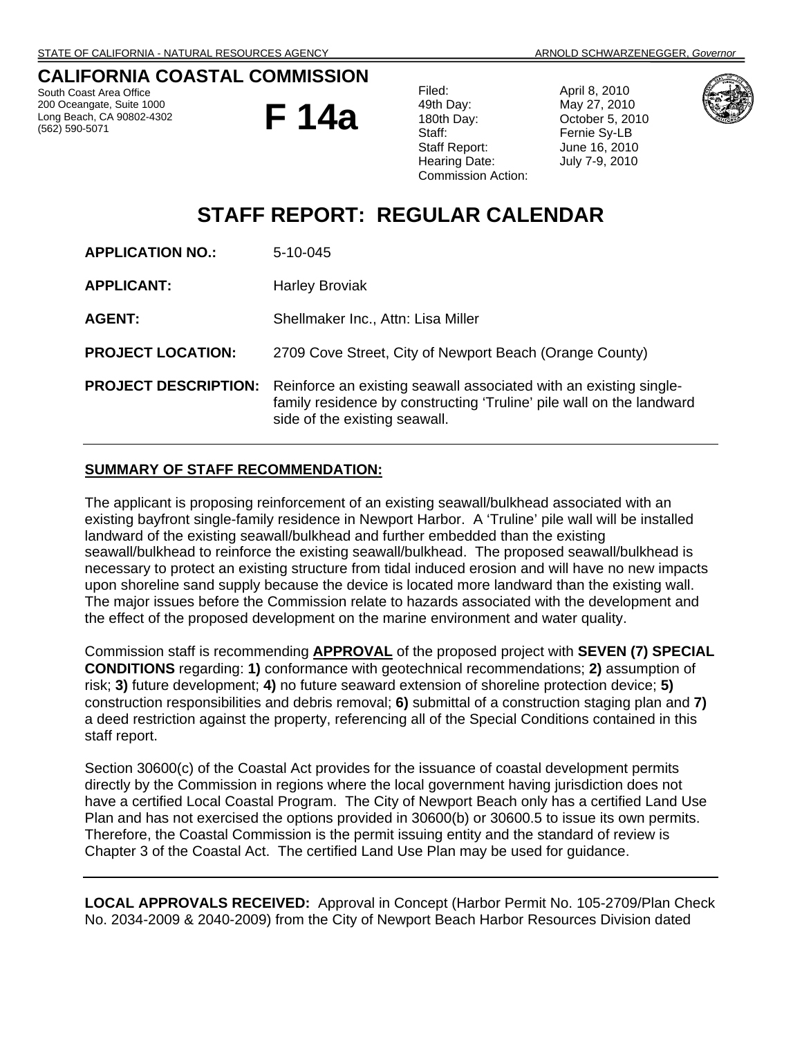## **CALIFORNIA COASTAL COMMISSION**

South Coast Area Office 200 Oceangate, Suite 1000 Long Beach, CA 90802-4302 (562) 590-5071

**F 14a** 

| Filed:                    |
|---------------------------|
| 49th Day:                 |
| 180th Day:                |
| Staff:                    |
| Staff Report:             |
| Hearing Date:             |
| <b>Commission Action:</b> |
|                           |

April 8, 2010 May 27, 2010 October 5, 2010 Fernie Sy-LB June 16, 2010 July 7-9, 2010



# **STAFF REPORT: REGULAR CALENDAR**

| <b>APPLICATION NO.:</b>     | 5-10-045                                                                                                                                                                   |
|-----------------------------|----------------------------------------------------------------------------------------------------------------------------------------------------------------------------|
| <b>APPLICANT:</b>           | <b>Harley Broviak</b>                                                                                                                                                      |
| <b>AGENT:</b>               | Shellmaker Inc., Attn: Lisa Miller                                                                                                                                         |
| <b>PROJECT LOCATION:</b>    | 2709 Cove Street, City of Newport Beach (Orange County)                                                                                                                    |
| <b>PROJECT DESCRIPTION:</b> | Reinforce an existing seawall associated with an existing single-<br>family residence by constructing 'Truline' pile wall on the landward<br>side of the existing seawall. |

### **SUMMARY OF STAFF RECOMMENDATION:**

The applicant is proposing reinforcement of an existing seawall/bulkhead associated with an existing bayfront single-family residence in Newport Harbor. A 'Truline' pile wall will be installed landward of the existing seawall/bulkhead and further embedded than the existing seawall/bulkhead to reinforce the existing seawall/bulkhead. The proposed seawall/bulkhead is necessary to protect an existing structure from tidal induced erosion and will have no new impacts upon shoreline sand supply because the device is located more landward than the existing wall. The major issues before the Commission relate to hazards associated with the development and the effect of the proposed development on the marine environment and water quality.

Commission staff is recommending **APPROVAL** of the proposed project with **SEVEN (7) SPECIAL CONDITIONS** regarding: **1)** conformance with geotechnical recommendations; **2)** assumption of risk; **3)** future development; **4)** no future seaward extension of shoreline protection device; **5)** construction responsibilities and debris removal; **6)** submittal of a construction staging plan and **7)** a deed restriction against the property, referencing all of the Special Conditions contained in this staff report.

Section 30600(c) of the Coastal Act provides for the issuance of coastal development permits directly by the Commission in regions where the local government having jurisdiction does not have a certified Local Coastal Program. The City of Newport Beach only has a certified Land Use Plan and has not exercised the options provided in 30600(b) or 30600.5 to issue its own permits. Therefore, the Coastal Commission is the permit issuing entity and the standard of review is Chapter 3 of the Coastal Act. The certified Land Use Plan may be used for guidance.

**LOCAL APPROVALS RECEIVED:** Approval in Concept (Harbor Permit No. 105-2709/Plan Check No. 2034-2009 & 2040-2009) from the City of Newport Beach Harbor Resources Division dated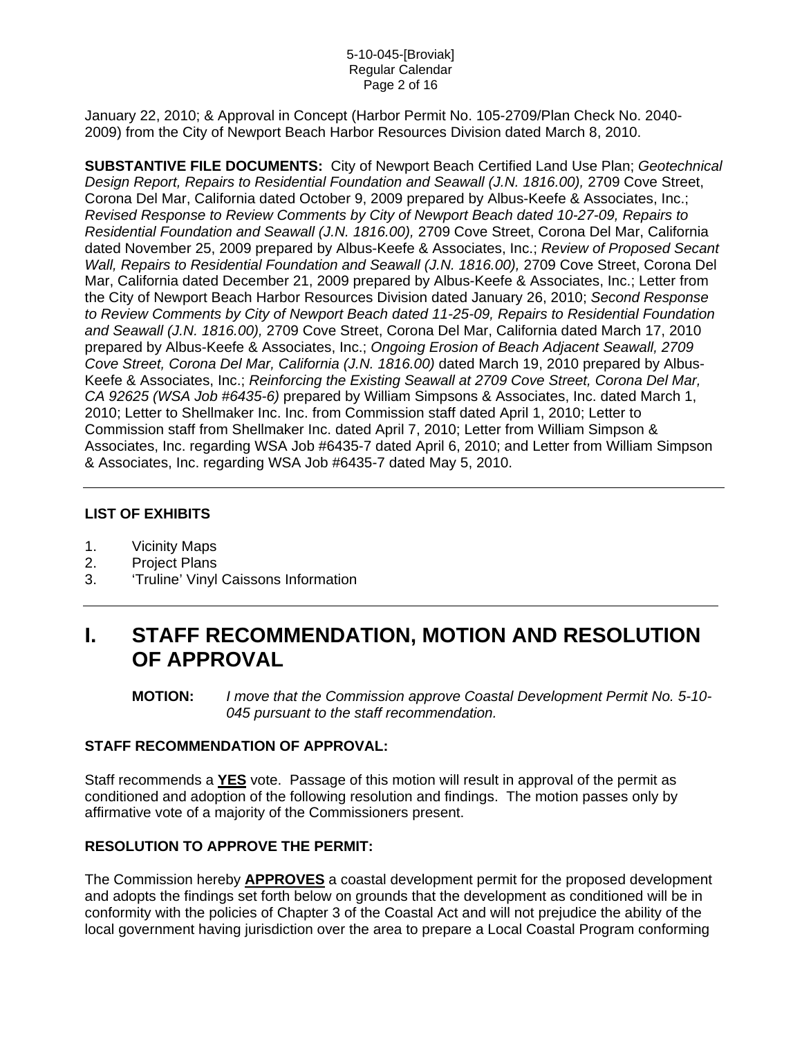#### 5-10-045-[Broviak] Regular Calendar Page 2 of 16

January 22, 2010; & Approval in Concept (Harbor Permit No. 105-2709/Plan Check No. 2040- 2009) from the City of Newport Beach Harbor Resources Division dated March 8, 2010.

**SUBSTANTIVE FILE DOCUMENTS:** City of Newport Beach Certified Land Use Plan; *Geotechnical Design Report, Repairs to Residential Foundation and Seawall (J.N. 1816.00),* 2709 Cove Street, Corona Del Mar, California dated October 9, 2009 prepared by Albus-Keefe & Associates, Inc.; *Revised Response to Review Comments by City of Newport Beach dated 10-27-09, Repairs to Residential Foundation and Seawall (J.N. 1816.00),* 2709 Cove Street, Corona Del Mar, California dated November 25, 2009 prepared by Albus-Keefe & Associates, Inc.; *Review of Proposed Secant Wall, Repairs to Residential Foundation and Seawall (J.N. 1816.00),* 2709 Cove Street, Corona Del Mar, California dated December 21, 2009 prepared by Albus-Keefe & Associates, Inc.; Letter from the City of Newport Beach Harbor Resources Division dated January 26, 2010; *Second Response to Review Comments by City of Newport Beach dated 11-25-09, Repairs to Residential Foundation and Seawall (J.N. 1816.00),* 2709 Cove Street, Corona Del Mar, California dated March 17, 2010 prepared by Albus-Keefe & Associates, Inc.; *Ongoing Erosion of Beach Adjacent Seawall, 2709 Cove Street, Corona Del Mar, California (J.N. 1816.00)* dated March 19, 2010 prepared by Albus-Keefe & Associates, Inc.; *Reinforcing the Existing Seawall at 2709 Cove Street, Corona Del Mar, CA 92625 (WSA Job #6435-6)* prepared by William Simpsons & Associates, Inc. dated March 1, 2010; Letter to Shellmaker Inc. Inc. from Commission staff dated April 1, 2010; Letter to Commission staff from Shellmaker Inc. dated April 7, 2010; Letter from William Simpson & Associates, Inc. regarding WSA Job #6435-7 dated April 6, 2010; and Letter from William Simpson & Associates, Inc. regarding WSA Job #6435-7 dated May 5, 2010.

## **LIST OF EXHIBITS**

- 1. Vicinity Maps
- 2. Project Plans
- 3. 'Truline' Vinyl Caissons Information

# **I. STAFF RECOMMENDATION, MOTION AND RESOLUTION OF APPROVAL**

**MOTION:** *I move that the Commission approve Coastal Development Permit No. 5-10- 045 pursuant to the staff recommendation.* 

### **STAFF RECOMMENDATION OF APPROVAL:**

Staff recommends a **YES** vote. Passage of this motion will result in approval of the permit as conditioned and adoption of the following resolution and findings. The motion passes only by affirmative vote of a majority of the Commissioners present.

## **RESOLUTION TO APPROVE THE PERMIT:**

The Commission hereby **APPROVES** a coastal development permit for the proposed development and adopts the findings set forth below on grounds that the development as conditioned will be in conformity with the policies of Chapter 3 of the Coastal Act and will not prejudice the ability of the local government having jurisdiction over the area to prepare a Local Coastal Program conforming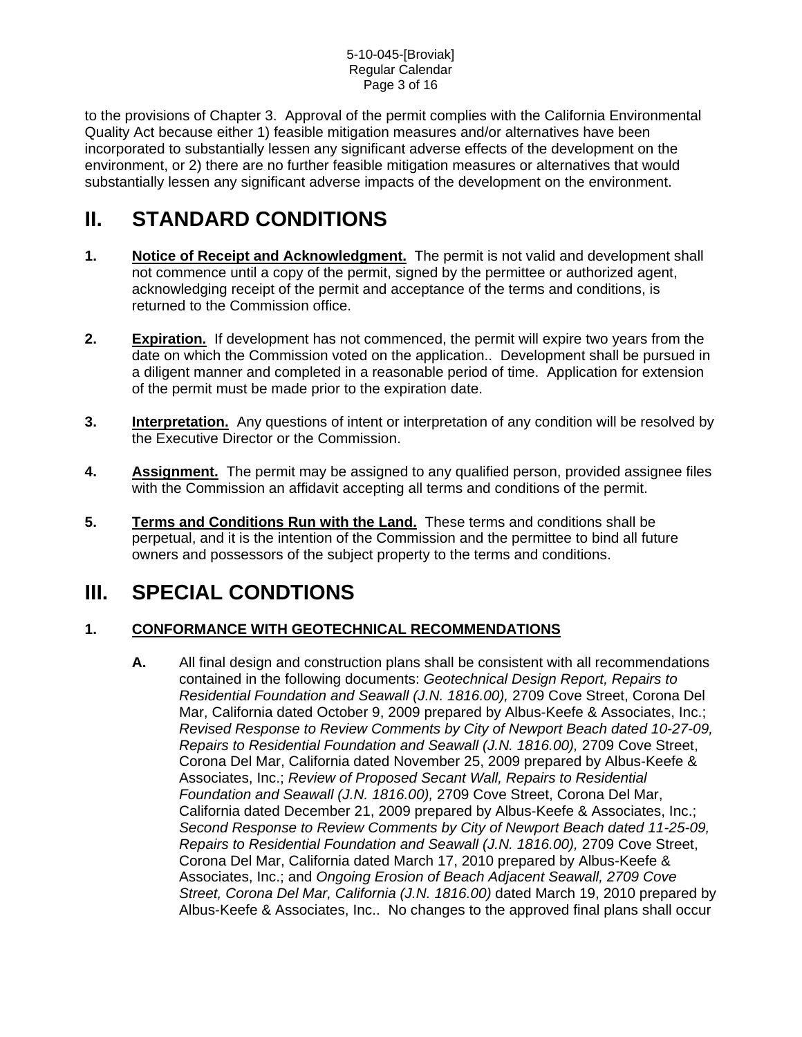to the provisions of Chapter 3. Approval of the permit complies with the California Environmental Quality Act because either 1) feasible mitigation measures and/or alternatives have been incorporated to substantially lessen any significant adverse effects of the development on the environment, or 2) there are no further feasible mitigation measures or alternatives that would substantially lessen any significant adverse impacts of the development on the environment.

# **II. STANDARD CONDITIONS**

- **1.** Notice of Receipt and Acknowledgment. The permit is not valid and development shall not commence until a copy of the permit, signed by the permittee or authorized agent, acknowledging receipt of the permit and acceptance of the terms and conditions, is returned to the Commission office.
- **2.** Expiration. If development has not commenced, the permit will expire two years from the date on which the Commission voted on the application.. Development shall be pursued in a diligent manner and completed in a reasonable period of time. Application for extension of the permit must be made prior to the expiration date.
- **3.** Interpretation. Any questions of intent or interpretation of any condition will be resolved by the Executive Director or the Commission.
- **4. Assignment.** The permit may be assigned to any qualified person, provided assignee files with the Commission an affidavit accepting all terms and conditions of the permit.
- **5. Terms and Conditions Run with the Land.** These terms and conditions shall be perpetual, and it is the intention of the Commission and the permittee to bind all future owners and possessors of the subject property to the terms and conditions.

# **III. SPECIAL CONDTIONS**

## **1. CONFORMANCE WITH GEOTECHNICAL RECOMMENDATIONS**

**A.** All final design and construction plans shall be consistent with all recommendations contained in the following documents: *Geotechnical Design Report, Repairs to Residential Foundation and Seawall (J.N. 1816.00),* 2709 Cove Street, Corona Del Mar, California dated October 9, 2009 prepared by Albus-Keefe & Associates, Inc.; *Revised Response to Review Comments by City of Newport Beach dated 10-27-09, Repairs to Residential Foundation and Seawall (J.N. 1816.00),* 2709 Cove Street, Corona Del Mar, California dated November 25, 2009 prepared by Albus-Keefe & Associates, Inc.; *Review of Proposed Secant Wall, Repairs to Residential Foundation and Seawall (J.N. 1816.00),* 2709 Cove Street, Corona Del Mar, California dated December 21, 2009 prepared by Albus-Keefe & Associates, Inc.; *Second Response to Review Comments by City of Newport Beach dated 11-25-09, Repairs to Residential Foundation and Seawall (J.N. 1816.00),* 2709 Cove Street, Corona Del Mar, California dated March 17, 2010 prepared by Albus-Keefe & Associates, Inc.; and *Ongoing Erosion of Beach Adjacent Seawall, 2709 Cove Street, Corona Del Mar, California (J.N. 1816.00)* dated March 19, 2010 prepared by Albus-Keefe & Associates, Inc.. No changes to the approved final plans shall occur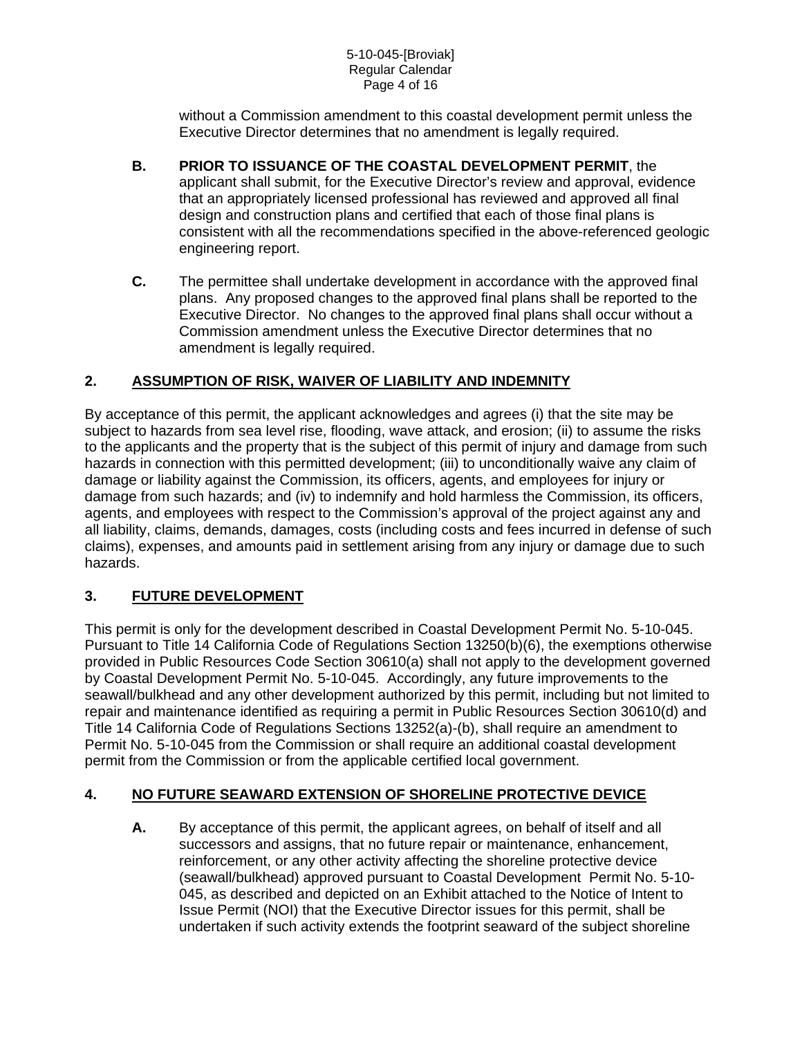without a Commission amendment to this coastal development permit unless the Executive Director determines that no amendment is legally required.

- **B. PRIOR TO ISSUANCE OF THE COASTAL DEVELOPMENT PERMIT**, the applicant shall submit, for the Executive Director's review and approval, evidence that an appropriately licensed professional has reviewed and approved all final design and construction plans and certified that each of those final plans is consistent with all the recommendations specified in the above-referenced geologic engineering report.
- **C.** The permittee shall undertake development in accordance with the approved final plans. Any proposed changes to the approved final plans shall be reported to the Executive Director. No changes to the approved final plans shall occur without a Commission amendment unless the Executive Director determines that no amendment is legally required.

## **2. ASSUMPTION OF RISK, WAIVER OF LIABILITY AND INDEMNITY**

By acceptance of this permit, the applicant acknowledges and agrees (i) that the site may be subject to hazards from sea level rise, flooding, wave attack, and erosion; (ii) to assume the risks to the applicants and the property that is the subject of this permit of injury and damage from such hazards in connection with this permitted development; (iii) to unconditionally waive any claim of damage or liability against the Commission, its officers, agents, and employees for injury or damage from such hazards; and (iv) to indemnify and hold harmless the Commission, its officers, agents, and employees with respect to the Commission's approval of the project against any and all liability, claims, demands, damages, costs (including costs and fees incurred in defense of such claims), expenses, and amounts paid in settlement arising from any injury or damage due to such hazards.

## **3. FUTURE DEVELOPMENT**

This permit is only for the development described in Coastal Development Permit No. 5-10-045. Pursuant to Title 14 California Code of Regulations Section 13250(b)(6), the exemptions otherwise provided in Public Resources Code Section 30610(a) shall not apply to the development governed by Coastal Development Permit No. 5-10-045. Accordingly, any future improvements to the seawall/bulkhead and any other development authorized by this permit, including but not limited to repair and maintenance identified as requiring a permit in Public Resources Section 30610(d) and Title 14 California Code of Regulations Sections 13252(a)-(b), shall require an amendment to Permit No. 5-10-045 from the Commission or shall require an additional coastal development permit from the Commission or from the applicable certified local government.

## **4. NO FUTURE SEAWARD EXTENSION OF SHORELINE PROTECTIVE DEVICE**

**A.** By acceptance of this permit, the applicant agrees, on behalf of itself and all successors and assigns, that no future repair or maintenance, enhancement, reinforcement, or any other activity affecting the shoreline protective device (seawall/bulkhead) approved pursuant to Coastal Development Permit No. 5-10- 045, as described and depicted on an Exhibit attached to the Notice of Intent to Issue Permit (NOI) that the Executive Director issues for this permit, shall be undertaken if such activity extends the footprint seaward of the subject shoreline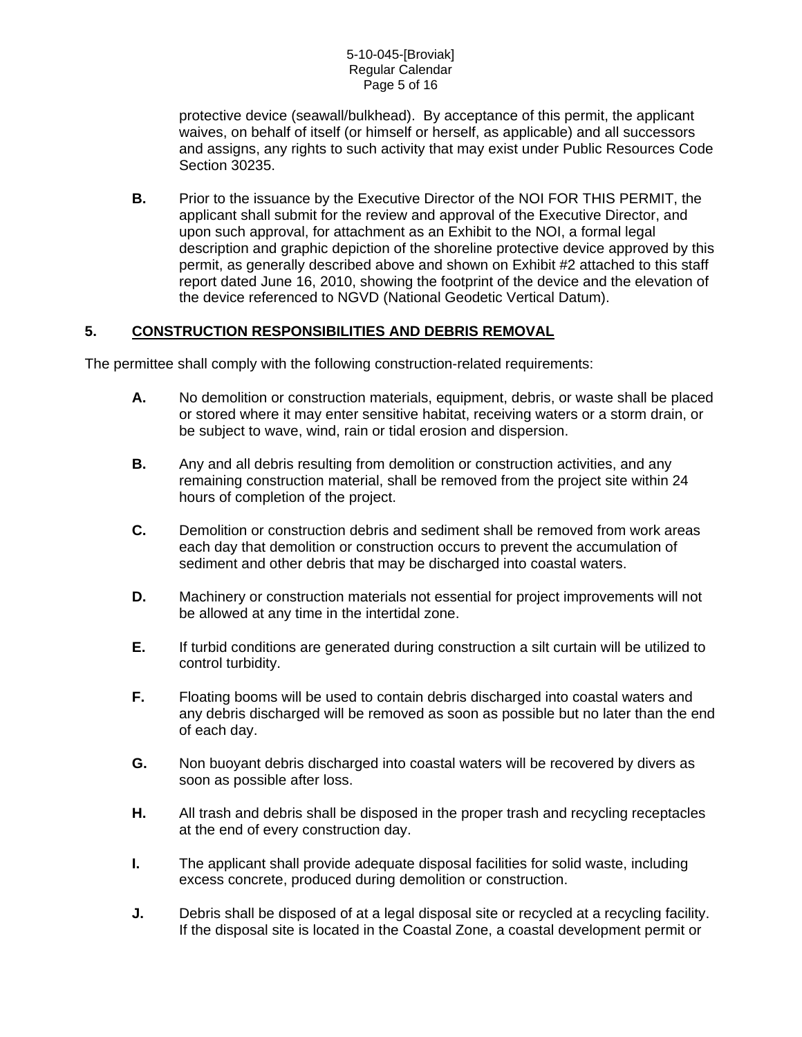protective device (seawall/bulkhead). By acceptance of this permit, the applicant waives, on behalf of itself (or himself or herself, as applicable) and all successors and assigns, any rights to such activity that may exist under Public Resources Code Section 30235.

**B.** Prior to the issuance by the Executive Director of the NOI FOR THIS PERMIT, the applicant shall submit for the review and approval of the Executive Director, and upon such approval, for attachment as an Exhibit to the NOI, a formal legal description and graphic depiction of the shoreline protective device approved by this permit, as generally described above and shown on Exhibit #2 attached to this staff report dated June 16, 2010, showing the footprint of the device and the elevation of the device referenced to NGVD (National Geodetic Vertical Datum).

### **5. CONSTRUCTION RESPONSIBILITIES AND DEBRIS REMOVAL**

The permittee shall comply with the following construction-related requirements:

- **A.** No demolition or construction materials, equipment, debris, or waste shall be placed or stored where it may enter sensitive habitat, receiving waters or a storm drain, or be subject to wave, wind, rain or tidal erosion and dispersion.
- **B.** Any and all debris resulting from demolition or construction activities, and any remaining construction material, shall be removed from the project site within 24 hours of completion of the project.
- **C.** Demolition or construction debris and sediment shall be removed from work areas each day that demolition or construction occurs to prevent the accumulation of sediment and other debris that may be discharged into coastal waters.
- **D.** Machinery or construction materials not essential for project improvements will not be allowed at any time in the intertidal zone.
- **E.** If turbid conditions are generated during construction a silt curtain will be utilized to control turbidity.
- **F.** Floating booms will be used to contain debris discharged into coastal waters and any debris discharged will be removed as soon as possible but no later than the end of each day.
- **G.** Non buoyant debris discharged into coastal waters will be recovered by divers as soon as possible after loss.
- **H.** All trash and debris shall be disposed in the proper trash and recycling receptacles at the end of every construction day.
- **I.** The applicant shall provide adequate disposal facilities for solid waste, including excess concrete, produced during demolition or construction.
- **J.** Debris shall be disposed of at a legal disposal site or recycled at a recycling facility. If the disposal site is located in the Coastal Zone, a coastal development permit or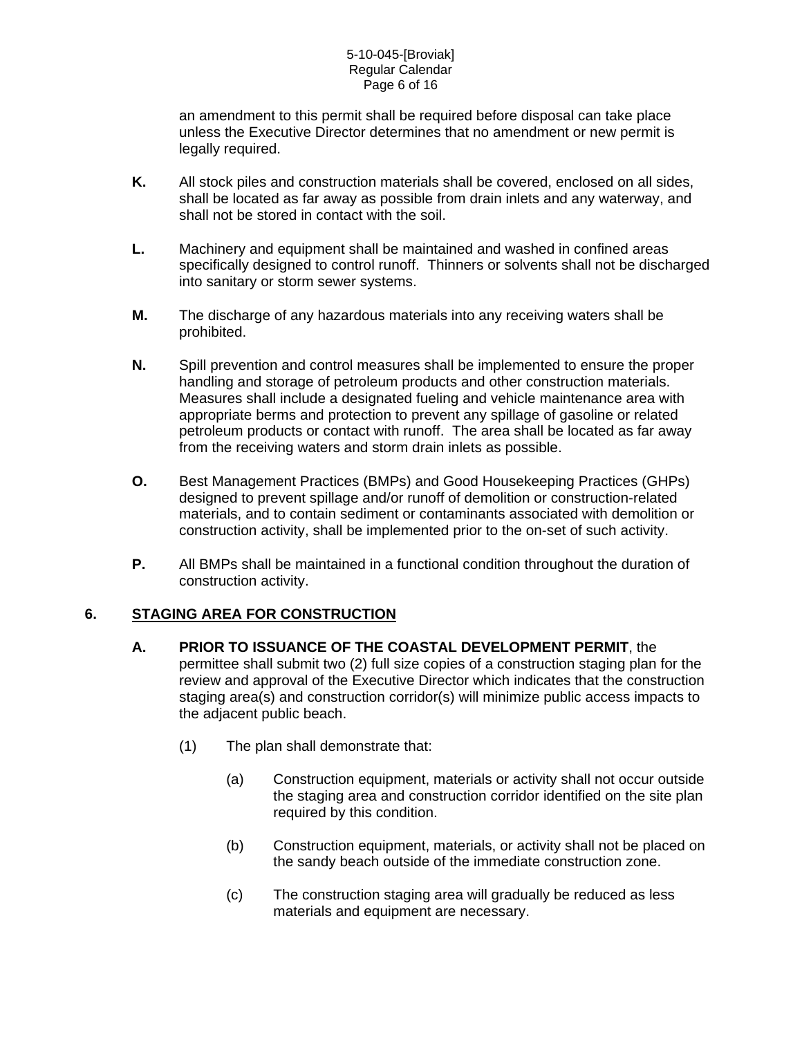an amendment to this permit shall be required before disposal can take place unless the Executive Director determines that no amendment or new permit is legally required.

- **K.** All stock piles and construction materials shall be covered, enclosed on all sides, shall be located as far away as possible from drain inlets and any waterway, and shall not be stored in contact with the soil.
- **L.** Machinery and equipment shall be maintained and washed in confined areas specifically designed to control runoff. Thinners or solvents shall not be discharged into sanitary or storm sewer systems.
- **M.** The discharge of any hazardous materials into any receiving waters shall be prohibited.
- **N.** Spill prevention and control measures shall be implemented to ensure the proper handling and storage of petroleum products and other construction materials. Measures shall include a designated fueling and vehicle maintenance area with appropriate berms and protection to prevent any spillage of gasoline or related petroleum products or contact with runoff. The area shall be located as far away from the receiving waters and storm drain inlets as possible.
- **O.** Best Management Practices (BMPs) and Good Housekeeping Practices (GHPs) designed to prevent spillage and/or runoff of demolition or construction-related materials, and to contain sediment or contaminants associated with demolition or construction activity, shall be implemented prior to the on-set of such activity.
- **P.** All BMPs shall be maintained in a functional condition throughout the duration of construction activity.

## **6. STAGING AREA FOR CONSTRUCTION**

- **A. PRIOR TO ISSUANCE OF THE COASTAL DEVELOPMENT PERMIT**, the permittee shall submit two (2) full size copies of a construction staging plan for the review and approval of the Executive Director which indicates that the construction staging area(s) and construction corridor(s) will minimize public access impacts to the adjacent public beach.
	- (1) The plan shall demonstrate that:
		- (a) Construction equipment, materials or activity shall not occur outside the staging area and construction corridor identified on the site plan required by this condition.
		- (b) Construction equipment, materials, or activity shall not be placed on the sandy beach outside of the immediate construction zone.
		- (c) The construction staging area will gradually be reduced as less materials and equipment are necessary.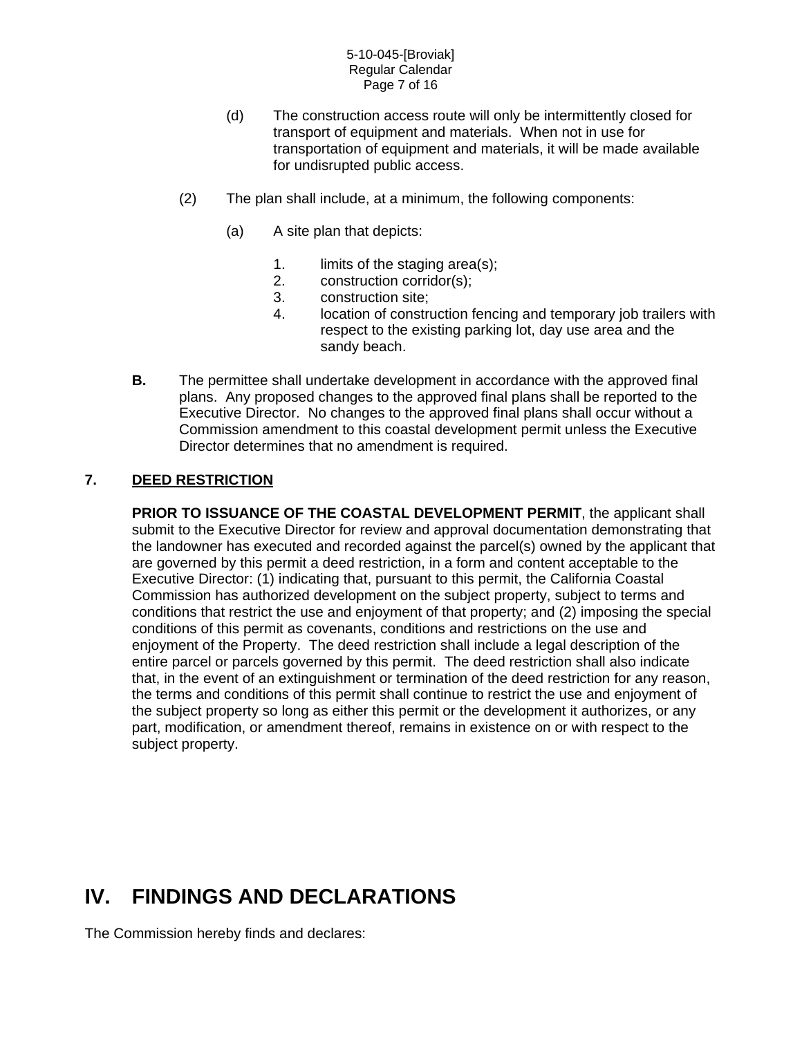#### 5-10-045-[Broviak] Regular Calendar Page 7 of 16

- (d) The construction access route will only be intermittently closed for transport of equipment and materials. When not in use for transportation of equipment and materials, it will be made available for undisrupted public access.
- (2) The plan shall include, at a minimum, the following components:
	- (a) A site plan that depicts:
		- 1. limits of the staging area(s);
		- 2. construction corridor(s);
		- 3. construction site;
		- 4. location of construction fencing and temporary job trailers with respect to the existing parking lot, day use area and the sandy beach.
- **B.** The permittee shall undertake development in accordance with the approved final plans. Any proposed changes to the approved final plans shall be reported to the Executive Director. No changes to the approved final plans shall occur without a Commission amendment to this coastal development permit unless the Executive Director determines that no amendment is required.

## **7. DEED RESTRICTION**

**PRIOR TO ISSUANCE OF THE COASTAL DEVELOPMENT PERMIT**, the applicant shall submit to the Executive Director for review and approval documentation demonstrating that the landowner has executed and recorded against the parcel(s) owned by the applicant that are governed by this permit a deed restriction, in a form and content acceptable to the Executive Director: (1) indicating that, pursuant to this permit, the California Coastal Commission has authorized development on the subject property, subject to terms and conditions that restrict the use and enjoyment of that property; and (2) imposing the special conditions of this permit as covenants, conditions and restrictions on the use and enjoyment of the Property. The deed restriction shall include a legal description of the entire parcel or parcels governed by this permit. The deed restriction shall also indicate that, in the event of an extinguishment or termination of the deed restriction for any reason, the terms and conditions of this permit shall continue to restrict the use and enjoyment of the subject property so long as either this permit or the development it authorizes, or any part, modification, or amendment thereof, remains in existence on or with respect to the subject property.

# **IV. FINDINGS AND DECLARATIONS**

The Commission hereby finds and declares: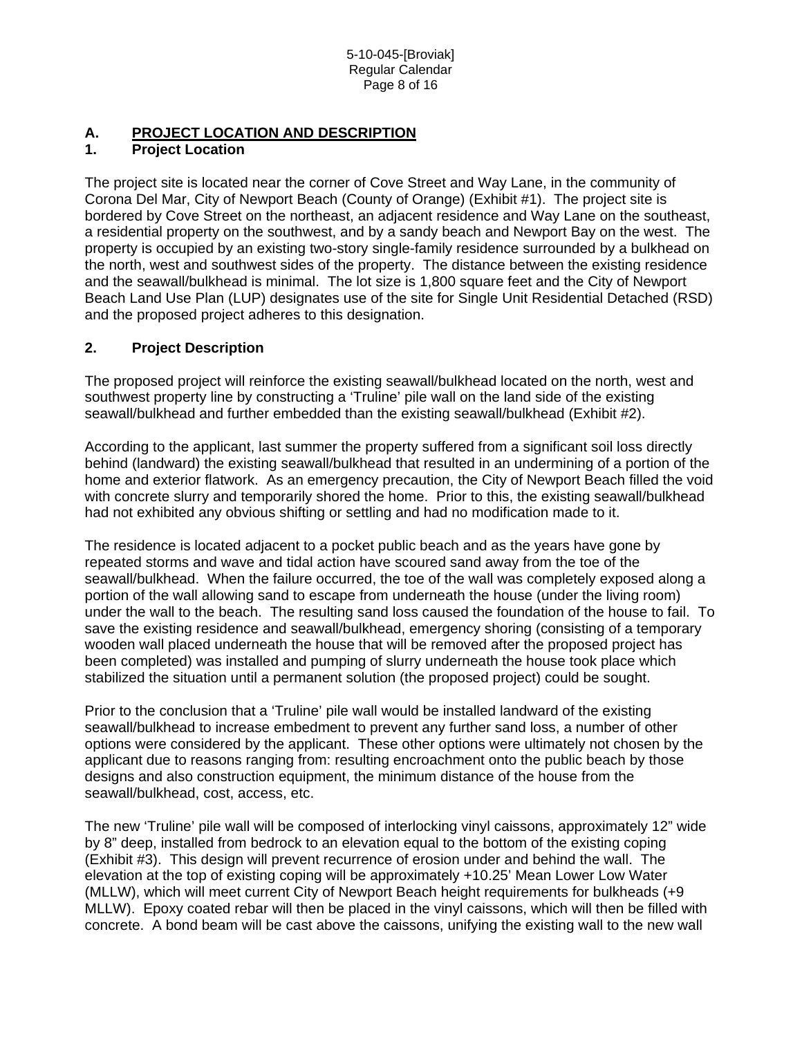## **A. PROJECT LOCATION AND DESCRIPTION**

## **1. Project Location**

The project site is located near the corner of Cove Street and Way Lane, in the community of Corona Del Mar, City of Newport Beach (County of Orange) (Exhibit #1). The project site is bordered by Cove Street on the northeast, an adjacent residence and Way Lane on the southeast, a residential property on the southwest, and by a sandy beach and Newport Bay on the west. The property is occupied by an existing two-story single-family residence surrounded by a bulkhead on the north, west and southwest sides of the property. The distance between the existing residence and the seawall/bulkhead is minimal. The lot size is 1,800 square feet and the City of Newport Beach Land Use Plan (LUP) designates use of the site for Single Unit Residential Detached (RSD) and the proposed project adheres to this designation.

### **2. Project Description**

The proposed project will reinforce the existing seawall/bulkhead located on the north, west and southwest property line by constructing a 'Truline' pile wall on the land side of the existing seawall/bulkhead and further embedded than the existing seawall/bulkhead (Exhibit #2).

According to the applicant, last summer the property suffered from a significant soil loss directly behind (landward) the existing seawall/bulkhead that resulted in an undermining of a portion of the home and exterior flatwork. As an emergency precaution, the City of Newport Beach filled the void with concrete slurry and temporarily shored the home. Prior to this, the existing seawall/bulkhead had not exhibited any obvious shifting or settling and had no modification made to it.

The residence is located adjacent to a pocket public beach and as the years have gone by repeated storms and wave and tidal action have scoured sand away from the toe of the seawall/bulkhead. When the failure occurred, the toe of the wall was completely exposed along a portion of the wall allowing sand to escape from underneath the house (under the living room) under the wall to the beach. The resulting sand loss caused the foundation of the house to fail. To save the existing residence and seawall/bulkhead, emergency shoring (consisting of a temporary wooden wall placed underneath the house that will be removed after the proposed project has been completed) was installed and pumping of slurry underneath the house took place which stabilized the situation until a permanent solution (the proposed project) could be sought.

Prior to the conclusion that a 'Truline' pile wall would be installed landward of the existing seawall/bulkhead to increase embedment to prevent any further sand loss, a number of other options were considered by the applicant. These other options were ultimately not chosen by the applicant due to reasons ranging from: resulting encroachment onto the public beach by those designs and also construction equipment, the minimum distance of the house from the seawall/bulkhead, cost, access, etc.

The new 'Truline' pile wall will be composed of interlocking vinyl caissons, approximately 12" wide by 8" deep, installed from bedrock to an elevation equal to the bottom of the existing coping (Exhibit #3). This design will prevent recurrence of erosion under and behind the wall. The elevation at the top of existing coping will be approximately +10.25' Mean Lower Low Water (MLLW), which will meet current City of Newport Beach height requirements for bulkheads (+9 MLLW). Epoxy coated rebar will then be placed in the vinyl caissons, which will then be filled with concrete. A bond beam will be cast above the caissons, unifying the existing wall to the new wall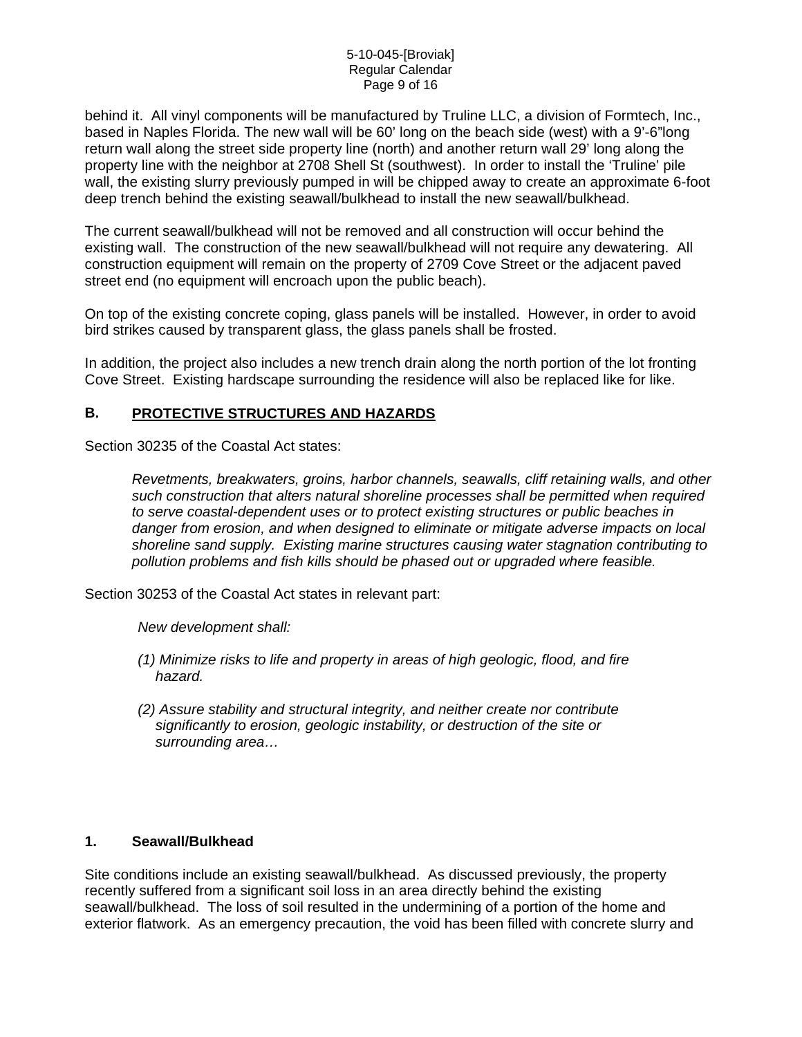behind it. All vinyl components will be manufactured by Truline LLC, a division of Formtech, Inc., based in Naples Florida. The new wall will be 60' long on the beach side (west) with a 9'-6"long return wall along the street side property line (north) and another return wall 29' long along the property line with the neighbor at 2708 Shell St (southwest). In order to install the 'Truline' pile wall, the existing slurry previously pumped in will be chipped away to create an approximate 6-foot deep trench behind the existing seawall/bulkhead to install the new seawall/bulkhead.

The current seawall/bulkhead will not be removed and all construction will occur behind the existing wall. The construction of the new seawall/bulkhead will not require any dewatering. All construction equipment will remain on the property of 2709 Cove Street or the adjacent paved street end (no equipment will encroach upon the public beach).

On top of the existing concrete coping, glass panels will be installed. However, in order to avoid bird strikes caused by transparent glass, the glass panels shall be frosted.

In addition, the project also includes a new trench drain along the north portion of the lot fronting Cove Street. Existing hardscape surrounding the residence will also be replaced like for like.

### **B. PROTECTIVE STRUCTURES AND HAZARDS**

Section 30235 of the Coastal Act states:

*Revetments, breakwaters, groins, harbor channels, seawalls, cliff retaining walls, and other such construction that alters natural shoreline processes shall be permitted when required to serve coastal-dependent uses or to protect existing structures or public beaches in danger from erosion, and when designed to eliminate or mitigate adverse impacts on local shoreline sand supply. Existing marine structures causing water stagnation contributing to pollution problems and fish kills should be phased out or upgraded where feasible.* 

Section 30253 of the Coastal Act states in relevant part:

*New development shall:* 

- *(1) Minimize risks to life and property in areas of high geologic, flood, and fire hazard.*
- *(2) Assure stability and structural integrity, and neither create nor contribute significantly to erosion, geologic instability, or destruction of the site or surrounding area…*

#### **1. Seawall/Bulkhead**

Site conditions include an existing seawall/bulkhead. As discussed previously, the property recently suffered from a significant soil loss in an area directly behind the existing seawall/bulkhead. The loss of soil resulted in the undermining of a portion of the home and exterior flatwork. As an emergency precaution, the void has been filled with concrete slurry and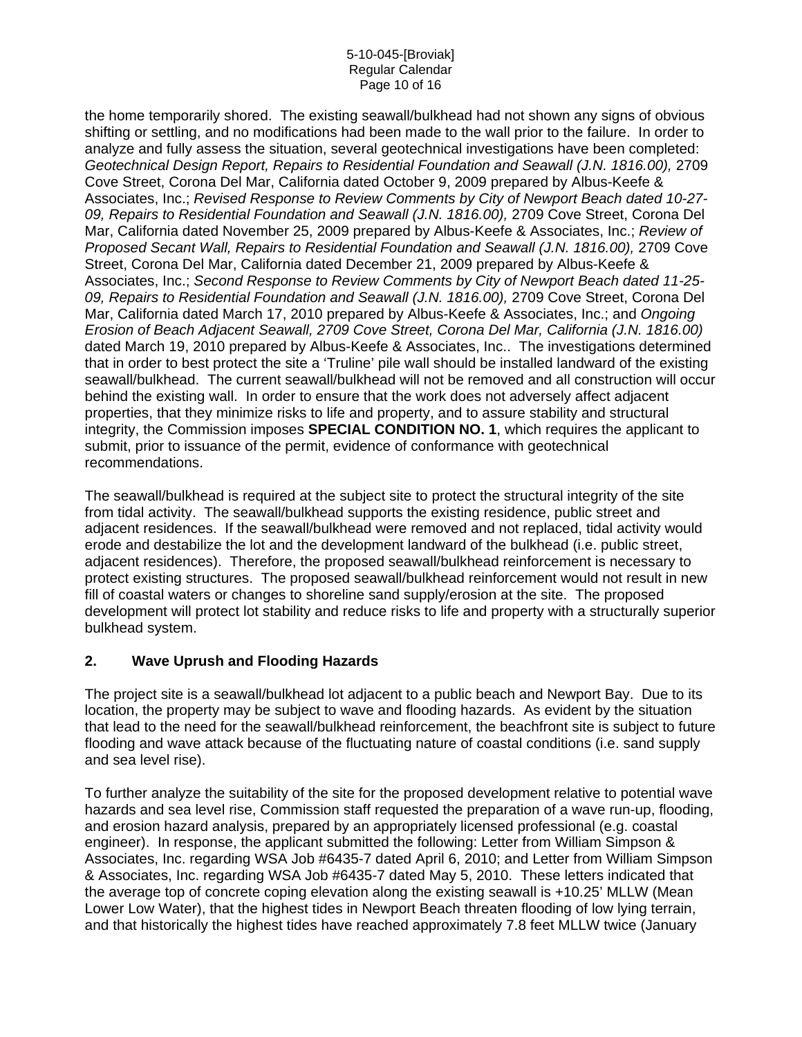#### 5-10-045-[Broviak] Regular Calendar Page 10 of 16

the home temporarily shored. The existing seawall/bulkhead had not shown any signs of obvious shifting or settling, and no modifications had been made to the wall prior to the failure. In order to analyze and fully assess the situation, several geotechnical investigations have been completed: *Geotechnical Design Report, Repairs to Residential Foundation and Seawall (J.N. 1816.00),* 2709 Cove Street, Corona Del Mar, California dated October 9, 2009 prepared by Albus-Keefe & Associates, Inc.; *Revised Response to Review Comments by City of Newport Beach dated 10-27- 09, Repairs to Residential Foundation and Seawall (J.N. 1816.00),* 2709 Cove Street, Corona Del Mar, California dated November 25, 2009 prepared by Albus-Keefe & Associates, Inc.; *Review of Proposed Secant Wall, Repairs to Residential Foundation and Seawall (J.N. 1816.00),* 2709 Cove Street, Corona Del Mar, California dated December 21, 2009 prepared by Albus-Keefe & Associates, Inc.; *Second Response to Review Comments by City of Newport Beach dated 11-25- 09, Repairs to Residential Foundation and Seawall (J.N. 1816.00),* 2709 Cove Street, Corona Del Mar, California dated March 17, 2010 prepared by Albus-Keefe & Associates, Inc.; and *Ongoing Erosion of Beach Adjacent Seawall, 2709 Cove Street, Corona Del Mar, California (J.N. 1816.00)*  dated March 19, 2010 prepared by Albus-Keefe & Associates, Inc.. The investigations determined that in order to best protect the site a 'Truline' pile wall should be installed landward of the existing seawall/bulkhead. The current seawall/bulkhead will not be removed and all construction will occur behind the existing wall. In order to ensure that the work does not adversely affect adjacent properties, that they minimize risks to life and property, and to assure stability and structural integrity, the Commission imposes **SPECIAL CONDITION NO. 1**, which requires the applicant to submit, prior to issuance of the permit, evidence of conformance with geotechnical recommendations.

The seawall/bulkhead is required at the subject site to protect the structural integrity of the site from tidal activity. The seawall/bulkhead supports the existing residence, public street and adjacent residences. If the seawall/bulkhead were removed and not replaced, tidal activity would erode and destabilize the lot and the development landward of the bulkhead (i.e. public street, adjacent residences). Therefore, the proposed seawall/bulkhead reinforcement is necessary to protect existing structures. The proposed seawall/bulkhead reinforcement would not result in new fill of coastal waters or changes to shoreline sand supply/erosion at the site. The proposed development will protect lot stability and reduce risks to life and property with a structurally superior bulkhead system.

### **2. Wave Uprush and Flooding Hazards**

The project site is a seawall/bulkhead lot adjacent to a public beach and Newport Bay. Due to its location, the property may be subject to wave and flooding hazards. As evident by the situation that lead to the need for the seawall/bulkhead reinforcement, the beachfront site is subject to future flooding and wave attack because of the fluctuating nature of coastal conditions (i.e. sand supply and sea level rise).

To further analyze the suitability of the site for the proposed development relative to potential wave hazards and sea level rise, Commission staff requested the preparation of a wave run-up, flooding, and erosion hazard analysis, prepared by an appropriately licensed professional (e.g. coastal engineer). In response, the applicant submitted the following: Letter from William Simpson & Associates, Inc. regarding WSA Job #6435-7 dated April 6, 2010; and Letter from William Simpson & Associates, Inc. regarding WSA Job #6435-7 dated May 5, 2010. These letters indicated that the average top of concrete coping elevation along the existing seawall is +10.25' MLLW (Mean Lower Low Water), that the highest tides in Newport Beach threaten flooding of low lying terrain, and that historically the highest tides have reached approximately 7.8 feet MLLW twice (January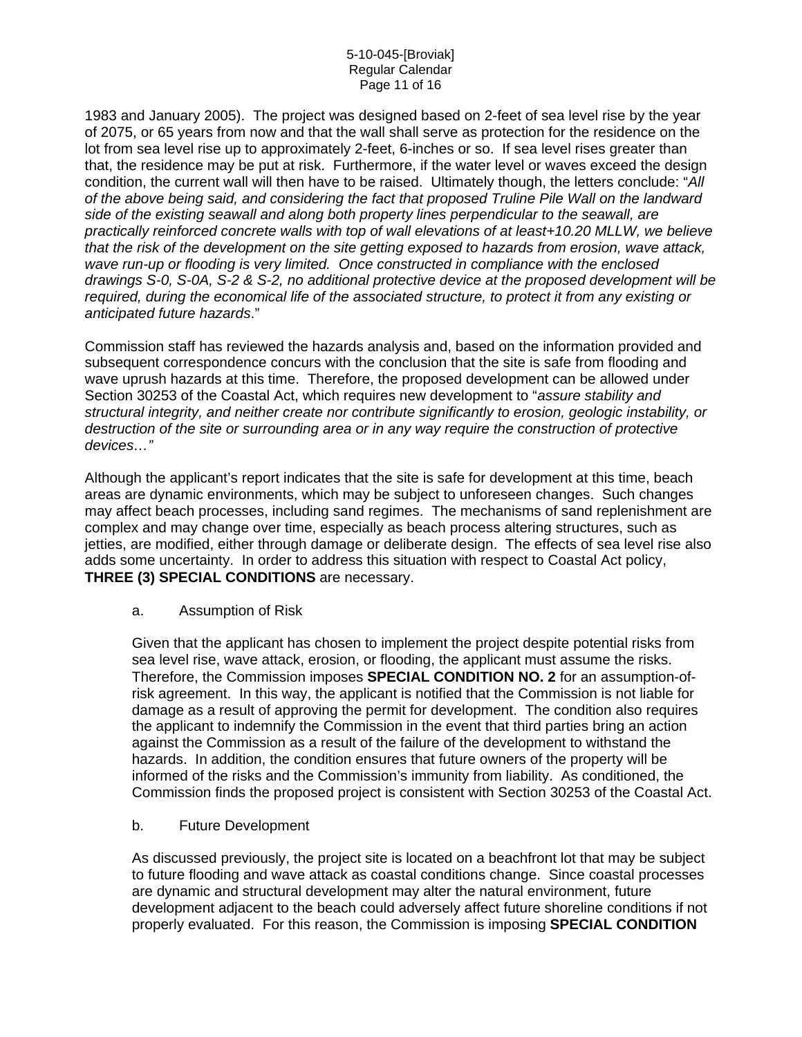#### 5-10-045-[Broviak] Regular Calendar Page 11 of 16

1983 and January 2005). The project was designed based on 2-feet of sea level rise by the year of 2075, or 65 years from now and that the wall shall serve as protection for the residence on the lot from sea level rise up to approximately 2-feet, 6-inches or so. If sea level rises greater than that, the residence may be put at risk. Furthermore, if the water level or waves exceed the design condition, the current wall will then have to be raised. Ultimately though, the letters conclude: "*All of the above being said, and considering the fact that proposed Truline Pile Wall on the landward side of the existing seawall and along both property lines perpendicular to the seawall, are practically reinforced concrete walls with top of wall elevations of at least+10.20 MLLW, we believe that the risk of the development on the site getting exposed to hazards from erosion, wave attack, wave run-up or flooding is very limited. Once constructed in compliance with the enclosed drawings S-0, S-0A, S-2 & S-2, no additional protective device at the proposed development will be required, during the economical life of the associated structure, to protect it from any existing or anticipated future hazards*."

Commission staff has reviewed the hazards analysis and, based on the information provided and subsequent correspondence concurs with the conclusion that the site is safe from flooding and wave uprush hazards at this time. Therefore, the proposed development can be allowed under Section 30253 of the Coastal Act, which requires new development to "*assure stability and structural integrity, and neither create nor contribute significantly to erosion, geologic instability, or destruction of the site or surrounding area or in any way require the construction of protective devices…"*

Although the applicant's report indicates that the site is safe for development at this time, beach areas are dynamic environments, which may be subject to unforeseen changes. Such changes may affect beach processes, including sand regimes. The mechanisms of sand replenishment are complex and may change over time, especially as beach process altering structures, such as jetties, are modified, either through damage or deliberate design. The effects of sea level rise also adds some uncertainty. In order to address this situation with respect to Coastal Act policy, **THREE (3) SPECIAL CONDITIONS** are necessary.

### a. Assumption of Risk

Given that the applicant has chosen to implement the project despite potential risks from sea level rise, wave attack, erosion, or flooding, the applicant must assume the risks. Therefore, the Commission imposes **SPECIAL CONDITION NO. 2** for an assumption-ofrisk agreement. In this way, the applicant is notified that the Commission is not liable for damage as a result of approving the permit for development. The condition also requires the applicant to indemnify the Commission in the event that third parties bring an action against the Commission as a result of the failure of the development to withstand the hazards. In addition, the condition ensures that future owners of the property will be informed of the risks and the Commission's immunity from liability. As conditioned, the Commission finds the proposed project is consistent with Section 30253 of the Coastal Act.

### b. Future Development

As discussed previously, the project site is located on a beachfront lot that may be subject to future flooding and wave attack as coastal conditions change. Since coastal processes are dynamic and structural development may alter the natural environment, future development adjacent to the beach could adversely affect future shoreline conditions if not properly evaluated. For this reason, the Commission is imposing **SPECIAL CONDITION**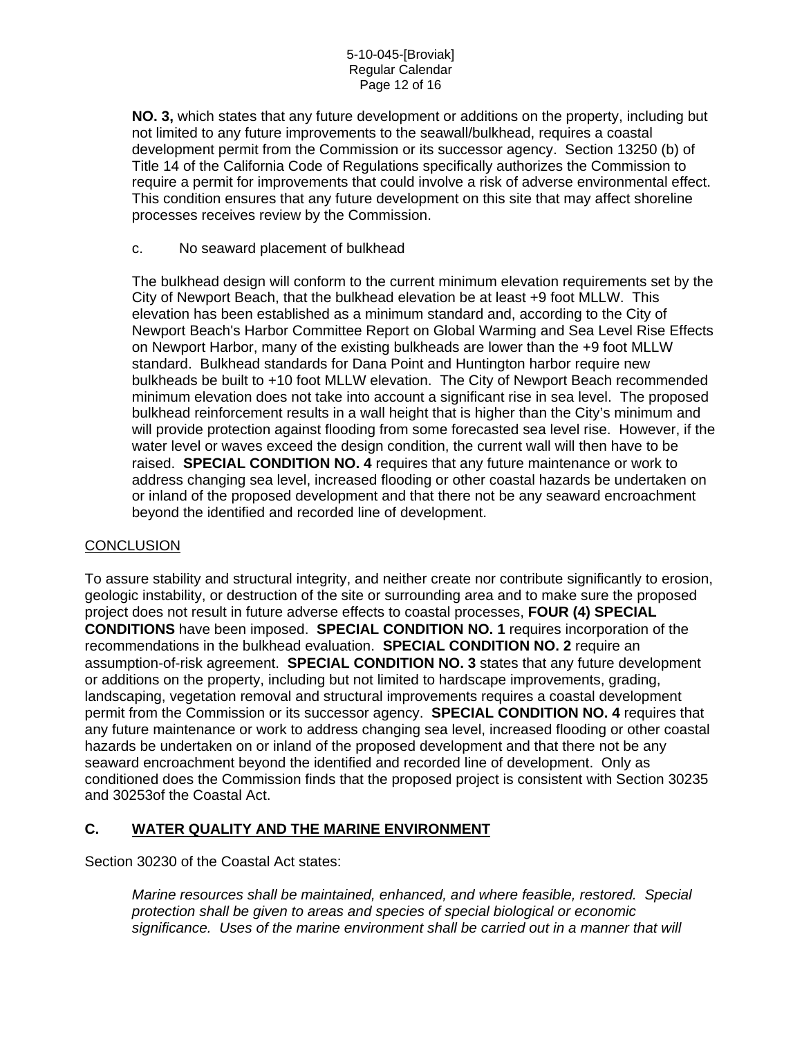**NO. 3,** which states that any future development or additions on the property, including but not limited to any future improvements to the seawall/bulkhead, requires a coastal development permit from the Commission or its successor agency. Section 13250 (b) of Title 14 of the California Code of Regulations specifically authorizes the Commission to require a permit for improvements that could involve a risk of adverse environmental effect. This condition ensures that any future development on this site that may affect shoreline processes receives review by the Commission.

#### c. No seaward placement of bulkhead

The bulkhead design will conform to the current minimum elevation requirements set by the City of Newport Beach, that the bulkhead elevation be at least +9 foot MLLW. This elevation has been established as a minimum standard and, according to the City of Newport Beach's Harbor Committee Report on Global Warming and Sea Level Rise Effects on Newport Harbor, many of the existing bulkheads are lower than the +9 foot MLLW standard. Bulkhead standards for Dana Point and Huntington harbor require new bulkheads be built to +10 foot MLLW elevation. The City of Newport Beach recommended minimum elevation does not take into account a significant rise in sea level. The proposed bulkhead reinforcement results in a wall height that is higher than the City's minimum and will provide protection against flooding from some forecasted sea level rise. However, if the water level or waves exceed the design condition, the current wall will then have to be raised. **SPECIAL CONDITION NO. 4** requires that any future maintenance or work to address changing sea level, increased flooding or other coastal hazards be undertaken on or inland of the proposed development and that there not be any seaward encroachment beyond the identified and recorded line of development.

### **CONCLUSION**

To assure stability and structural integrity, and neither create nor contribute significantly to erosion, geologic instability, or destruction of the site or surrounding area and to make sure the proposed project does not result in future adverse effects to coastal processes, **FOUR (4) SPECIAL CONDITIONS** have been imposed. **SPECIAL CONDITION NO. 1** requires incorporation of the recommendations in the bulkhead evaluation. **SPECIAL CONDITION NO. 2** require an assumption-of-risk agreement. **SPECIAL CONDITION NO. 3** states that any future development or additions on the property, including but not limited to hardscape improvements, grading, landscaping, vegetation removal and structural improvements requires a coastal development permit from the Commission or its successor agency. **SPECIAL CONDITION NO. 4** requires that any future maintenance or work to address changing sea level, increased flooding or other coastal hazards be undertaken on or inland of the proposed development and that there not be any seaward encroachment beyond the identified and recorded line of development. Only as conditioned does the Commission finds that the proposed project is consistent with Section 30235 and 30253of the Coastal Act.

### **C. WATER QUALITY AND THE MARINE ENVIRONMENT**

Section 30230 of the Coastal Act states:

*Marine resources shall be maintained, enhanced, and where feasible, restored. Special protection shall be given to areas and species of special biological or economic significance. Uses of the marine environment shall be carried out in a manner that will*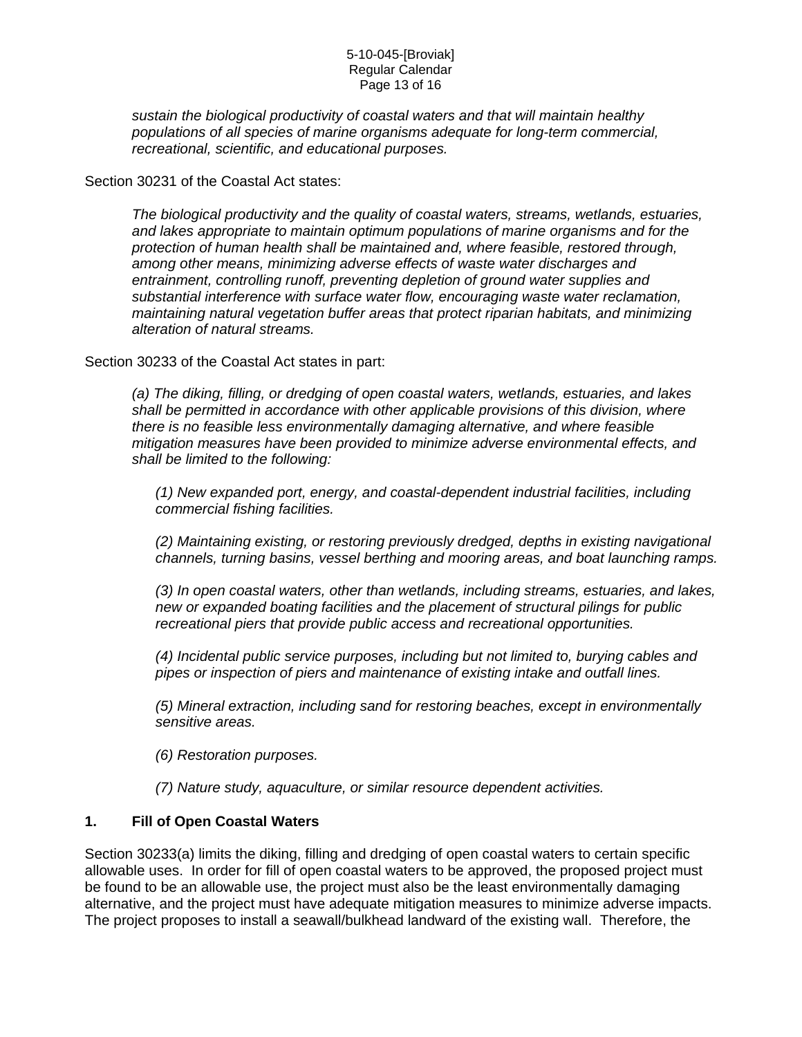#### 5-10-045-[Broviak] Regular Calendar Page 13 of 16

*sustain the biological productivity of coastal waters and that will maintain healthy populations of all species of marine organisms adequate for long-term commercial, recreational, scientific, and educational purposes.* 

Section 30231 of the Coastal Act states:

*The biological productivity and the quality of coastal waters, streams, wetlands, estuaries, and lakes appropriate to maintain optimum populations of marine organisms and for the protection of human health shall be maintained and, where feasible, restored through, among other means, minimizing adverse effects of waste water discharges and entrainment, controlling runoff, preventing depletion of ground water supplies and substantial interference with surface water flow, encouraging waste water reclamation, maintaining natural vegetation buffer areas that protect riparian habitats, and minimizing alteration of natural streams.* 

Section 30233 of the Coastal Act states in part:

*(a) The diking, filling, or dredging of open coastal waters, wetlands, estuaries, and lakes shall be permitted in accordance with other applicable provisions of this division, where there is no feasible less environmentally damaging alternative, and where feasible mitigation measures have been provided to minimize adverse environmental effects, and shall be limited to the following:* 

*(1) New expanded port, energy, and coastal-dependent industrial facilities, including commercial fishing facilities.* 

*(2) Maintaining existing, or restoring previously dredged, depths in existing navigational channels, turning basins, vessel berthing and mooring areas, and boat launching ramps.* 

*(3) In open coastal waters, other than wetlands, including streams, estuaries, and lakes, new or expanded boating facilities and the placement of structural pilings for public recreational piers that provide public access and recreational opportunities.* 

*(4) Incidental public service purposes, including but not limited to, burying cables and pipes or inspection of piers and maintenance of existing intake and outfall lines.* 

*(5) Mineral extraction, including sand for restoring beaches, except in environmentally sensitive areas.* 

*(6) Restoration purposes.* 

*(7) Nature study, aquaculture, or similar resource dependent activities.* 

### **1. Fill of Open Coastal Waters**

Section 30233(a) limits the diking, filling and dredging of open coastal waters to certain specific allowable uses. In order for fill of open coastal waters to be approved, the proposed project must be found to be an allowable use, the project must also be the least environmentally damaging alternative, and the project must have adequate mitigation measures to minimize adverse impacts. The project proposes to install a seawall/bulkhead landward of the existing wall. Therefore, the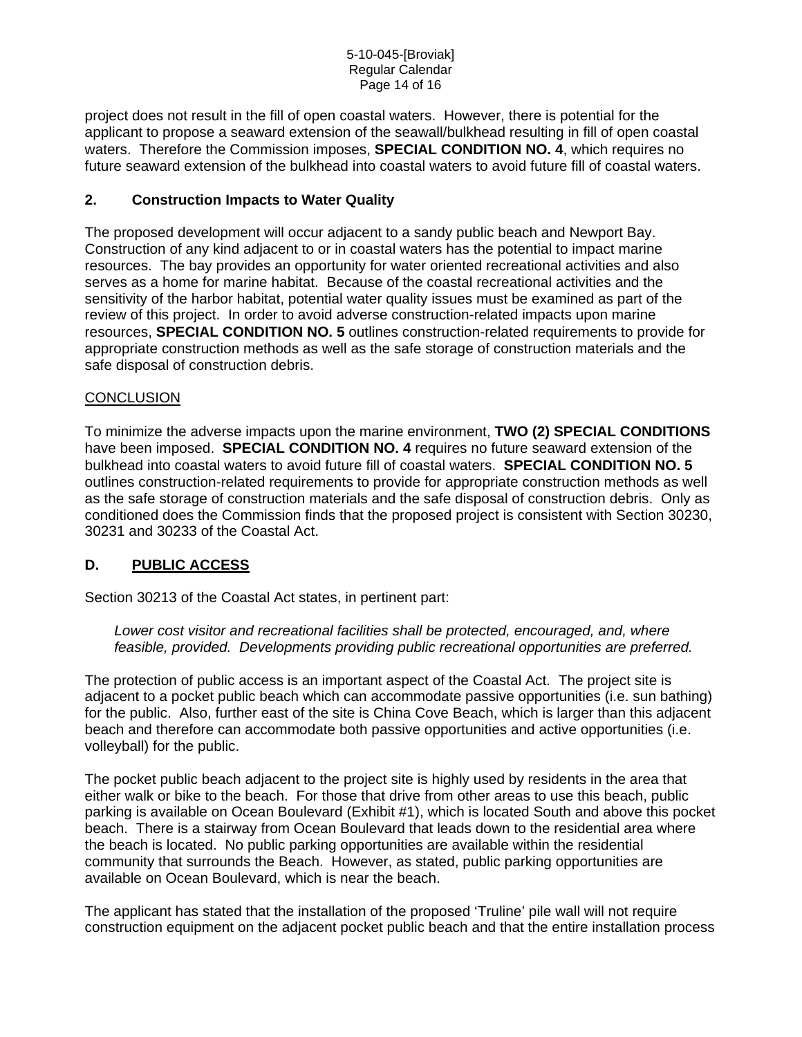project does not result in the fill of open coastal waters. However, there is potential for the applicant to propose a seaward extension of the seawall/bulkhead resulting in fill of open coastal waters. Therefore the Commission imposes, **SPECIAL CONDITION NO. 4**, which requires no future seaward extension of the bulkhead into coastal waters to avoid future fill of coastal waters.

## **2. Construction Impacts to Water Quality**

The proposed development will occur adjacent to a sandy public beach and Newport Bay. Construction of any kind adjacent to or in coastal waters has the potential to impact marine resources. The bay provides an opportunity for water oriented recreational activities and also serves as a home for marine habitat. Because of the coastal recreational activities and the sensitivity of the harbor habitat, potential water quality issues must be examined as part of the review of this project. In order to avoid adverse construction-related impacts upon marine resources, **SPECIAL CONDITION NO. 5** outlines construction-related requirements to provide for appropriate construction methods as well as the safe storage of construction materials and the safe disposal of construction debris.

### **CONCLUSION**

To minimize the adverse impacts upon the marine environment, **TWO (2) SPECIAL CONDITIONS** have been imposed. **SPECIAL CONDITION NO. 4** requires no future seaward extension of the bulkhead into coastal waters to avoid future fill of coastal waters. **SPECIAL CONDITION NO. 5**  outlines construction-related requirements to provide for appropriate construction methods as well as the safe storage of construction materials and the safe disposal of construction debris. Only as conditioned does the Commission finds that the proposed project is consistent with Section 30230, 30231 and 30233 of the Coastal Act.

## **D. PUBLIC ACCESS**

Section 30213 of the Coastal Act states, in pertinent part:

*Lower cost visitor and recreational facilities shall be protected, encouraged, and, where feasible, provided. Developments providing public recreational opportunities are preferred.* 

The protection of public access is an important aspect of the Coastal Act. The project site is adjacent to a pocket public beach which can accommodate passive opportunities (i.e. sun bathing) for the public. Also, further east of the site is China Cove Beach, which is larger than this adjacent beach and therefore can accommodate both passive opportunities and active opportunities (i.e. volleyball) for the public.

The pocket public beach adjacent to the project site is highly used by residents in the area that either walk or bike to the beach. For those that drive from other areas to use this beach, public parking is available on Ocean Boulevard (Exhibit #1), which is located South and above this pocket beach. There is a stairway from Ocean Boulevard that leads down to the residential area where the beach is located. No public parking opportunities are available within the residential community that surrounds the Beach. However, as stated, public parking opportunities are available on Ocean Boulevard, which is near the beach.

The applicant has stated that the installation of the proposed 'Truline' pile wall will not require construction equipment on the adjacent pocket public beach and that the entire installation process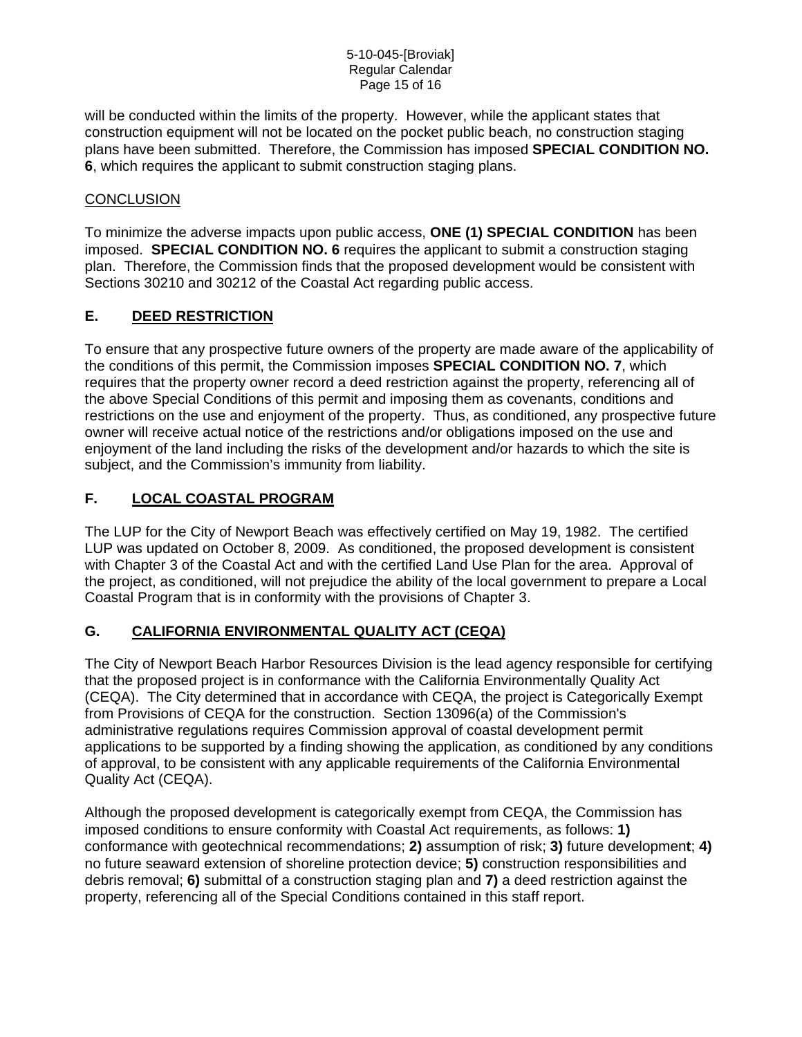#### 5-10-045-[Broviak] Regular Calendar Page 15 of 16

will be conducted within the limits of the property. However, while the applicant states that construction equipment will not be located on the pocket public beach, no construction staging plans have been submitted. Therefore, the Commission has imposed **SPECIAL CONDITION NO. 6**, which requires the applicant to submit construction staging plans.

## **CONCLUSION**

To minimize the adverse impacts upon public access, **ONE (1) SPECIAL CONDITION** has been imposed. **SPECIAL CONDITION NO. 6** requires the applicant to submit a construction staging plan. Therefore, the Commission finds that the proposed development would be consistent with Sections 30210 and 30212 of the Coastal Act regarding public access.

# **E. DEED RESTRICTION**

To ensure that any prospective future owners of the property are made aware of the applicability of the conditions of this permit, the Commission imposes **SPECIAL CONDITION NO. 7**, which requires that the property owner record a deed restriction against the property, referencing all of the above Special Conditions of this permit and imposing them as covenants, conditions and restrictions on the use and enjoyment of the property. Thus, as conditioned, any prospective future owner will receive actual notice of the restrictions and/or obligations imposed on the use and enjoyment of the land including the risks of the development and/or hazards to which the site is subject, and the Commission's immunity from liability.

## **F. LOCAL COASTAL PROGRAM**

The LUP for the City of Newport Beach was effectively certified on May 19, 1982. The certified LUP was updated on October 8, 2009. As conditioned, the proposed development is consistent with Chapter 3 of the Coastal Act and with the certified Land Use Plan for the area. Approval of the project, as conditioned, will not prejudice the ability of the local government to prepare a Local Coastal Program that is in conformity with the provisions of Chapter 3.

## **G. CALIFORNIA ENVIRONMENTAL QUALITY ACT (CEQA)**

The City of Newport Beach Harbor Resources Division is the lead agency responsible for certifying that the proposed project is in conformance with the California Environmentally Quality Act (CEQA). The City determined that in accordance with CEQA, the project is Categorically Exempt from Provisions of CEQA for the construction. Section 13096(a) of the Commission's administrative regulations requires Commission approval of coastal development permit applications to be supported by a finding showing the application, as conditioned by any conditions of approval, to be consistent with any applicable requirements of the California Environmental Quality Act (CEQA).

Although the proposed development is categorically exempt from CEQA, the Commission has imposed conditions to ensure conformity with Coastal Act requirements, as follows: **1)** conformance with geotechnical recommendations; **2)** assumption of risk; **3)** future developmen**t**; **4)** no future seaward extension of shoreline protection device; **5)** construction responsibilities and debris removal; **6)** submittal of a construction staging plan and **7)** a deed restriction against the property, referencing all of the Special Conditions contained in this staff report.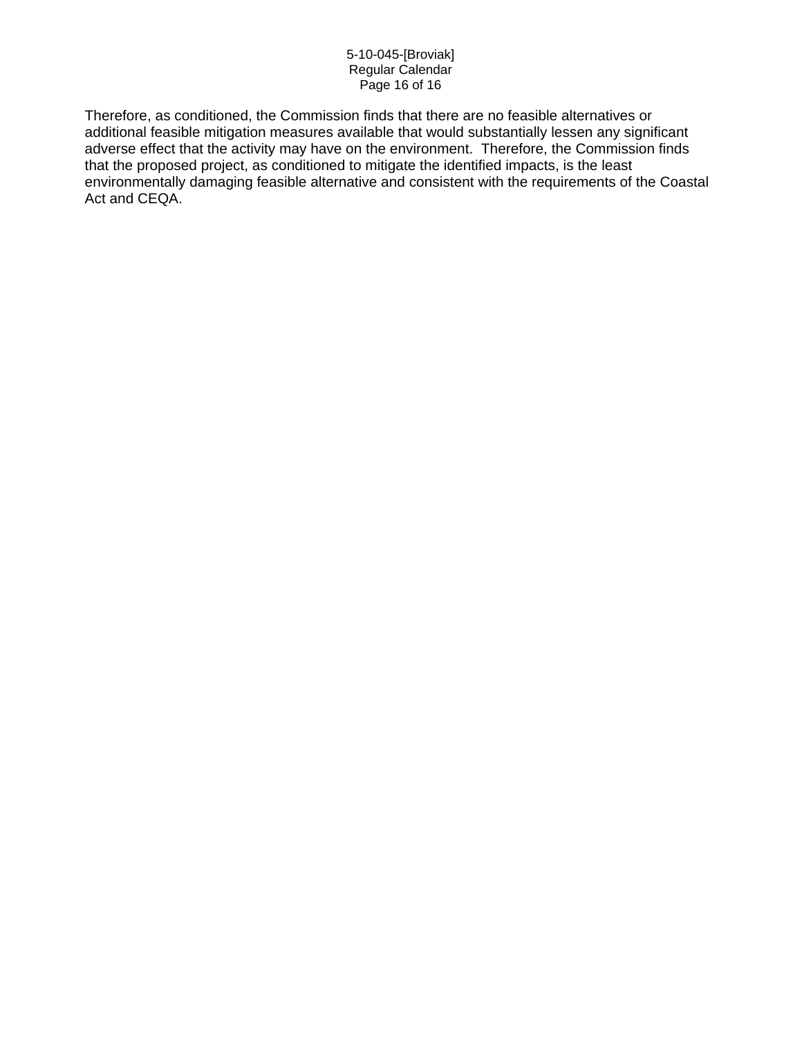#### 5-10-045-[Broviak] Regular Calendar Page 16 of 16

Therefore, as conditioned, the Commission finds that there are no feasible alternatives or additional feasible mitigation measures available that would substantially lessen any significant adverse effect that the activity may have on the environment. Therefore, the Commission finds that the proposed project, as conditioned to mitigate the identified impacts, is the least environmentally damaging feasible alternative and consistent with the requirements of the Coastal Act and CEQA.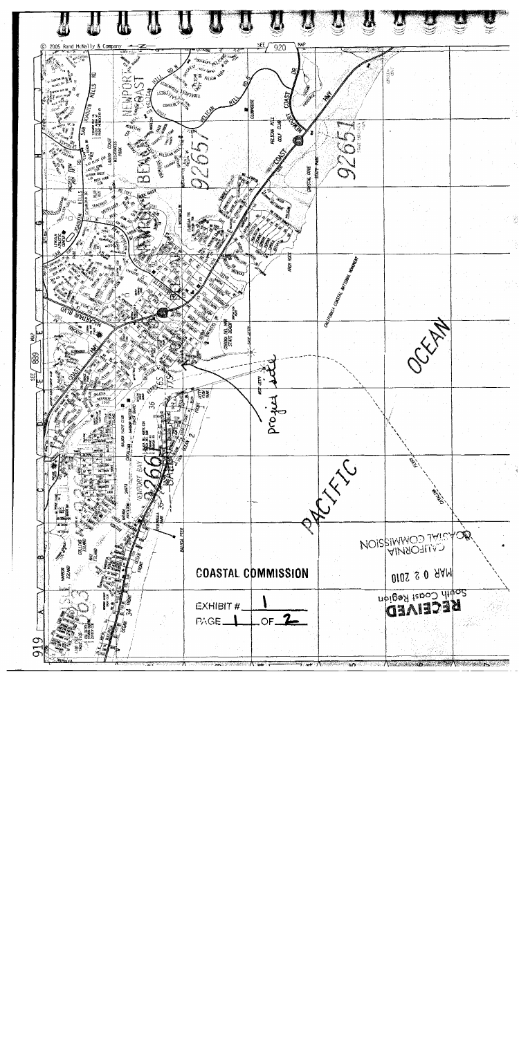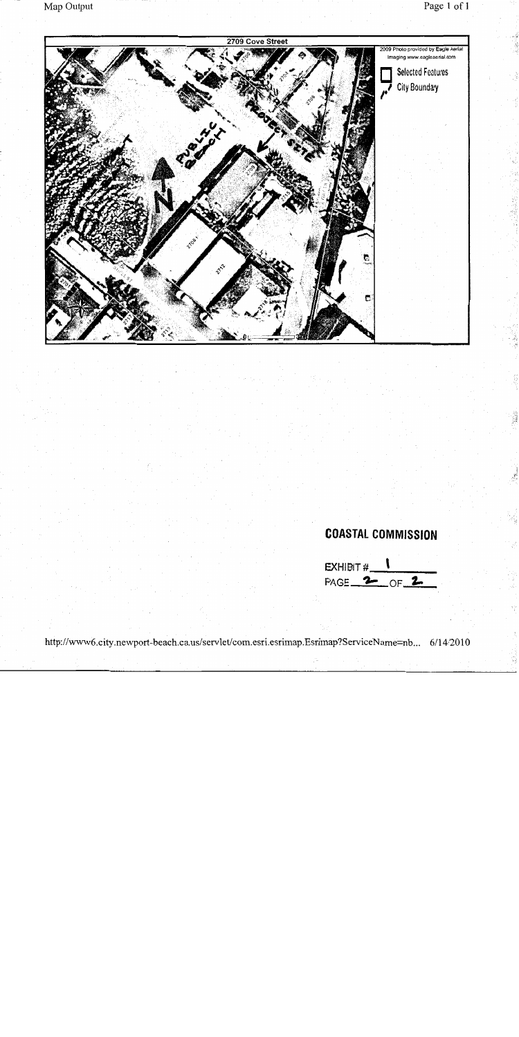

http://www6.city.newport-beach.ca.us/servlet/com.esri.esrimap.Esrimap?ServiceName=nb... 6/14/2010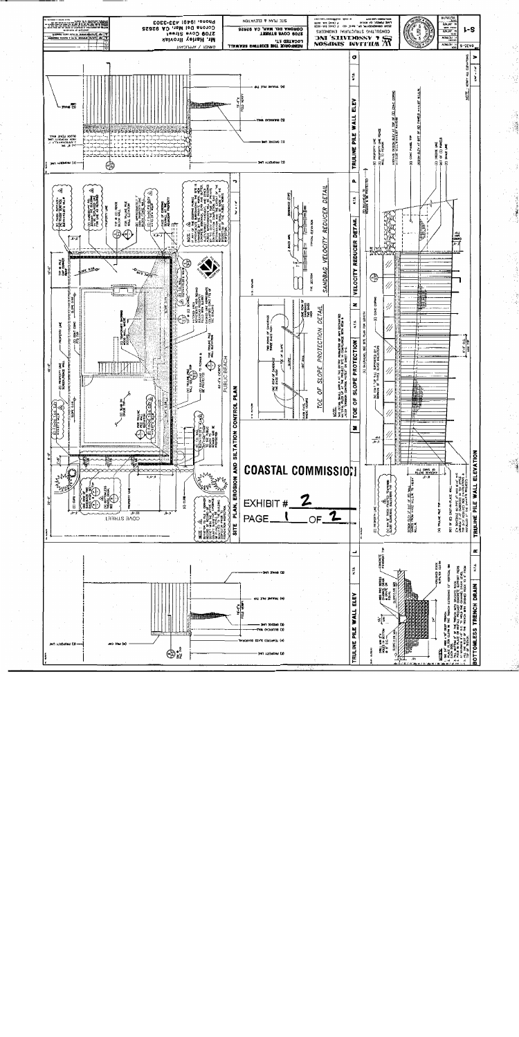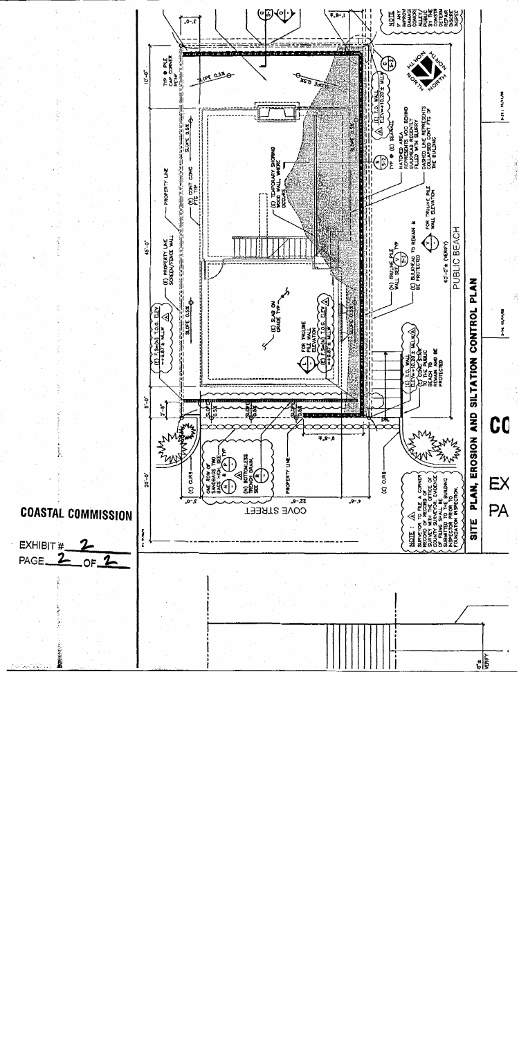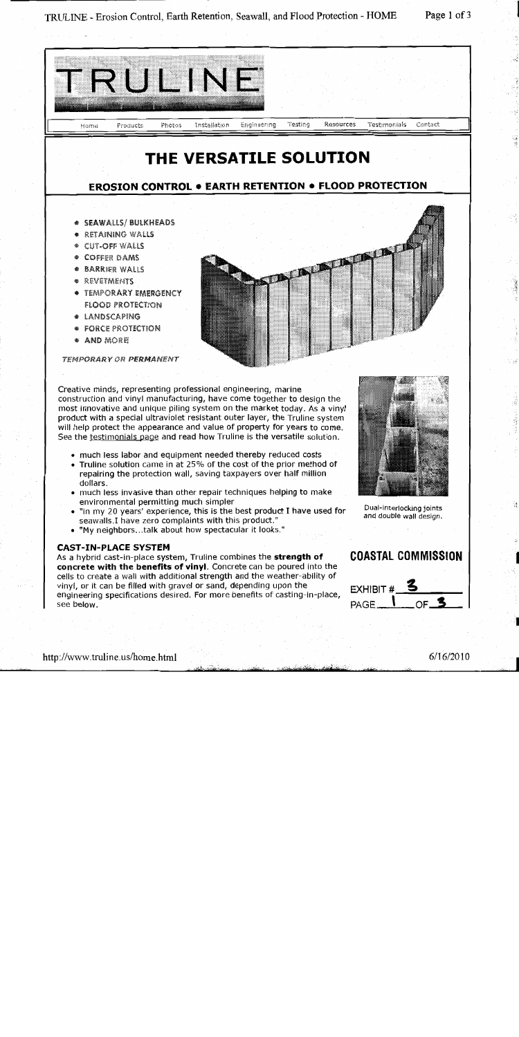TRULINE - Erosion Control, Earth Retention, Seawall, and Flood Protection - HOME

Page 1 of 3

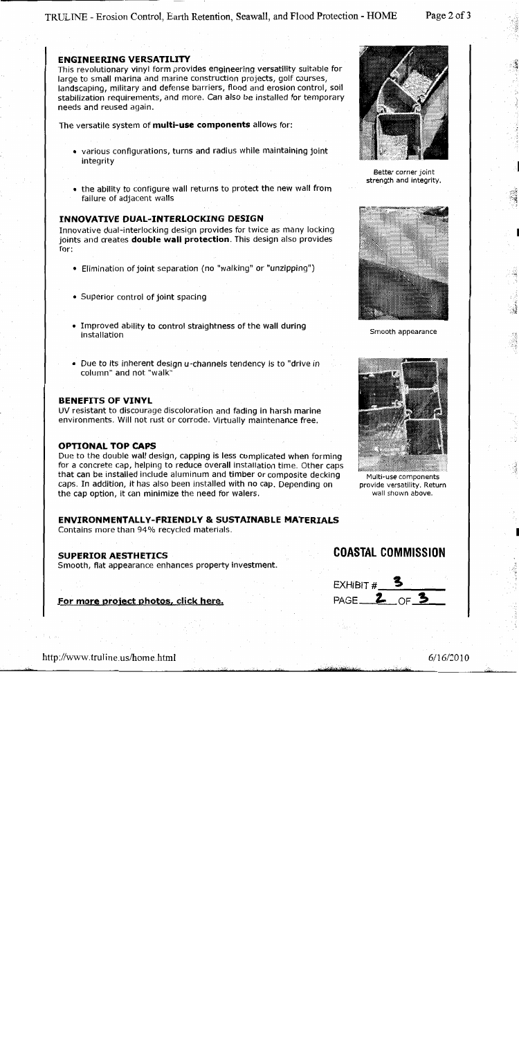#### **ENGINEERING VERSATILITY**

This revolutionary vinyl form provides engineering versatility suitable for large to small marina and marine construction projects, golf courses, landscaping, military and defense barriers, flood and erosion control, soil stabilization requirements, and more. Can also be installed for temporary needs and reused again.

The versatile system of multi-use components allows for:

- various configurations, turns and radius while maintaining joint integrity
- the ability to configure wall returns to protect the new wall from failure of adjacent walls

#### **INNOVATIVE DUAL-INTERLOCKING DESIGN**

Innovative dual-interlocking design provides for twice as many locking joints and creates **double wall protection**. This design also provides for:

- Elimination of joint separation (no "walking" or "unzipping")
- Superior control of joint spacing
- Improved ability to control straightness of the wall during installation
- Due to its inherent design u-channels tendency is to "drive in column" and not "walk"

#### **BENEFITS OF VINYL**

UV resistant to discourage discoloration and fading in harsh marine environments. Will not rust or corrode. Virtually maintenance free.

#### **OPTIONAL TOP CAPS**

Due to the double wall design, capping is less complicated when forming for a concrete cap, helping to reduce overall installation time. Other caps that can be installed include aluminum and timber or composite decking caps. In addition, it has also been installed with no cap. Depending on the cap option, it can minimize the need for walers.

#### **ENVIRONMENTALLY-FRIENDLY & SUSTAINABLE MATERIALS**

Contains more than 94% recycled materials.

#### **SUPERIOR AESTHETICS**

Smooth, flat appearance enhances property investment.

#### For more project photos, click here.



Better corner joint strength and integrity.



Smooth appearance



Multi-use components provide versatility. Return wall shown above.

**COASTAL COMMISSION** 

EXHIBIT  $#$  3

PAGE 2 OF 3